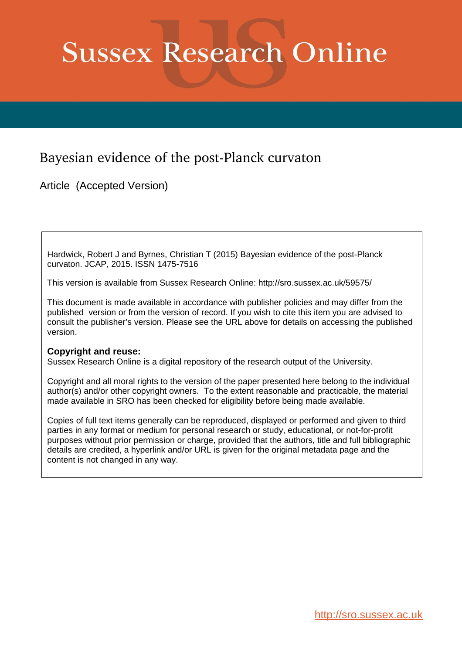# **Sussex Research Online**

### Bayesian evidence of the post-Planck curvaton

Article (Accepted Version)

Hardwick, Robert J and Byrnes, Christian T (2015) Bayesian evidence of the post-Planck curvaton. JCAP, 2015. ISSN 1475-7516

This version is available from Sussex Research Online: http://sro.sussex.ac.uk/59575/

This document is made available in accordance with publisher policies and may differ from the published version or from the version of record. If you wish to cite this item you are advised to consult the publisher's version. Please see the URL above for details on accessing the published version.

#### **Copyright and reuse:**

Sussex Research Online is a digital repository of the research output of the University.

Copyright and all moral rights to the version of the paper presented here belong to the individual author(s) and/or other copyright owners. To the extent reasonable and practicable, the material made available in SRO has been checked for eligibility before being made available.

Copies of full text items generally can be reproduced, displayed or performed and given to third parties in any format or medium for personal research or study, educational, or not-for-profit purposes without prior permission or charge, provided that the authors, title and full bibliographic details are credited, a hyperlink and/or URL is given for the original metadata page and the content is not changed in any way.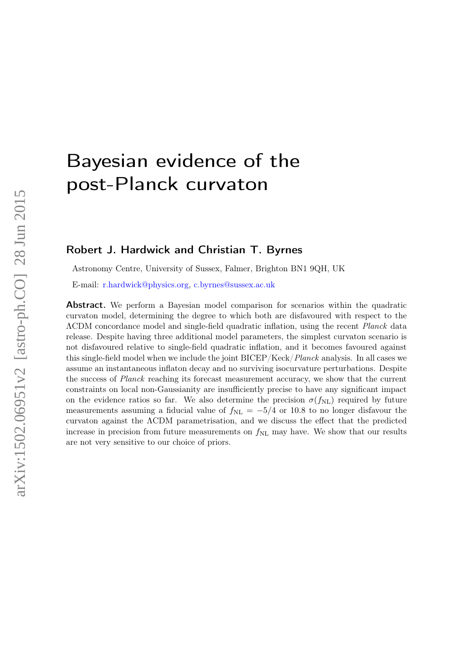## Bayesian evidence of the post-Planck curvaton

#### <span id="page-1-0"></span>Robert J. Hardwick and Christian T. Byrnes

Astronomy Centre, University of Sussex, Falmer, Brighton BN1 9QH, UK

E-mail: [r.hardwick@physics.org,](mailto:r.hardwick@physics.org) [c.byrnes@sussex.ac.uk](mailto:c.byrnes@sussex.ac.uk)

Abstract. We perform a Bayesian model comparison for scenarios within the quadratic curvaton model, determining the degree to which both are disfavoured with respect to the ΛCDM concordance model and single-field quadratic inflation, using the recent Planck data release. Despite having three additional model parameters, the simplest curvaton scenario is not disfavoured relative to single-field quadratic inflation, and it becomes favoured against this single-field model when we include the joint BICEP/Keck/Planck analysis. In all cases we assume an instantaneous inflaton decay and no surviving isocurvature perturbations. Despite the success of Planck reaching its forecast measurement accuracy, we show that the current constraints on local non-Gaussianity are insufficiently precise to have any significant impact on the evidence ratios so far. We also determine the precision  $\sigma(f_{\rm NL})$  required by future measurements assuming a fiducial value of  $f_{\text{NL}} = -5/4$  or 10.8 to no longer disfavour the curvaton against the ΛCDM parametrisation, and we discuss the effect that the predicted increase in precision from future measurements on  $f_{\rm NL}$  may have. We show that our results are not very sensitive to our choice of priors.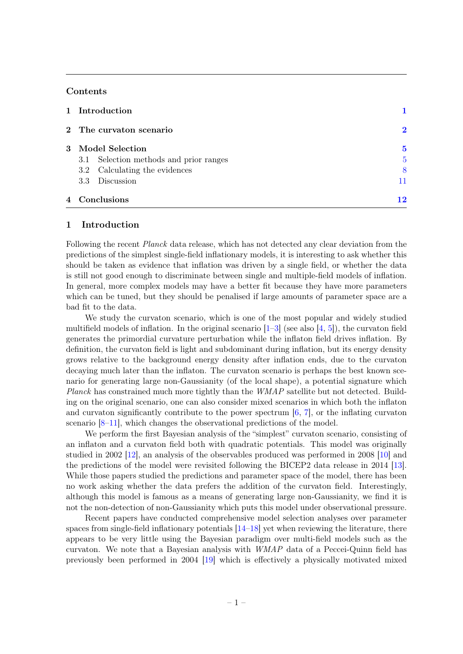#### **Contents**

| 1 Introduction                         |          |
|----------------------------------------|----------|
| 2 The curvaton scenario                | $\bf{2}$ |
| 3 Model Selection                      | 5        |
| 3.1 Selection methods and prior ranges | 5        |
| 3.2 Calculating the evidences          | 8        |
| Discussion<br>3.3                      | 11       |
| 4 Conclusions                          | 12       |

#### 1 Introduction

<span id="page-2-0"></span>Following the recent *Planck* data release, which has not detected any clear deviation from the predictions of the simplest single-field inflationary models, it is interesting to ask whether this should be taken as evidence that inflation was driven by a single field, or whether the data is still not good enough to discriminate between single and multiple-field models of inflation. In general, more complex models may have a better fit because they have more parameters which can be tuned, but they should be penalised if large amounts of parameter space are a bad fit to the data.

We study the curvaton scenario, which is one of the most popular and widely studied multifield models of inflation. In the original scenario  $[1-3]$  $[1-3]$  (see also  $[4, 5]$  $[4, 5]$ ), the curvaton field generates the primordial curvature perturbation while the inflaton field drives inflation. By definition, the curvaton field is light and subdominant during inflation, but its energy density grows relative to the background energy density after inflation ends, due to the curvaton decaying much later than the inflaton. The curvaton scenario is perhaps the best known scenario for generating large non-Gaussianity (of the local shape), a potential signature which Planck has constrained much more tightly than the WMAP satellite but not detected. Building on the original scenario, one can also consider mixed scenarios in which both the inflaton and curvaton significantly contribute to the power spectrum  $[6, 7]$  $[6, 7]$ , or the inflating curvaton scenario [\[8](#page-14-5)[–11\]](#page-14-6), which changes the observational predictions of the model.

We perform the first Bayesian analysis of the "simplest" curvaton scenario, consisting of an inflaton and a curvaton field both with quadratic potentials. This model was originally studied in 2002 [\[12\]](#page-14-7), an analysis of the observables produced was performed in 2008 [\[10\]](#page-14-8) and the predictions of the model were revisited following the BICEP2 data release in 2014 [\[13\]](#page-14-9). While those papers studied the predictions and parameter space of the model, there has been no work asking whether the data prefers the addition of the curvaton field. Interestingly, although this model is famous as a means of generating large non-Gaussianity, we find it is not the non-detection of non-Gaussianity which puts this model under observational pressure.

Recent papers have conducted comprehensive model selection analyses over parameter spaces from single-field inflationary potentials [\[14–](#page-14-10)[18\]](#page-14-11) yet when reviewing the literature, there appears to be very little using the Bayesian paradigm over multi-field models such as the curvaton. We note that a Bayesian analysis with WMAP data of a Peccei-Quinn field has previously been performed in 2004 [\[19\]](#page-14-12) which is effectively a physically motivated mixed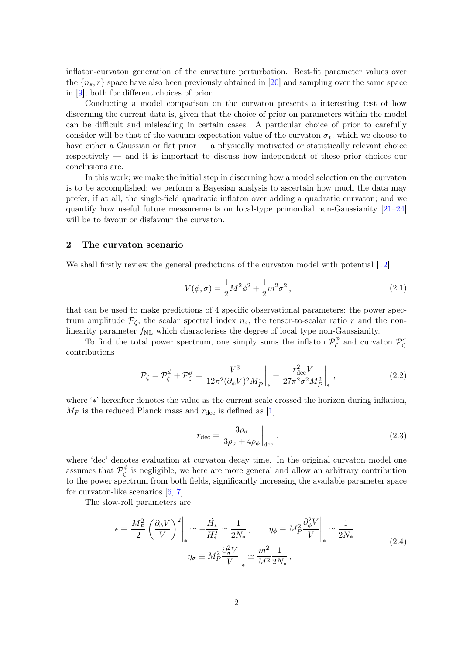inflaton-curvaton generation of the curvature perturbation. Best-fit parameter values over the  ${n<sub>s</sub>, r}$  space have also been previously obtained in [\[20\]](#page-14-13) and sampling over the same space in [\[9\]](#page-14-14), both for different choices of prior.

Conducting a model comparison on the curvaton presents a interesting test of how discerning the current data is, given that the choice of prior on parameters within the model can be difficult and misleading in certain cases. A particular choice of prior to carefully consider will be that of the vacuum expectation value of the curvaton  $\sigma_*$ , which we choose to have either a Gaussian or flat prior — a physically motivated or statistically relevant choice respectively — and it is important to discuss how independent of these prior choices our conclusions are.

In this work; we make the initial step in discerning how a model selection on the curvaton is to be accomplished; we perform a Bayesian analysis to ascertain how much the data may prefer, if at all, the single-field quadratic inflaton over adding a quadratic curvaton; and we quantify how useful future measurements on local-type primordial non-Gaussianity [\[21](#page-14-15)[–24\]](#page-15-0) will be to favour or disfavour the curvaton.

#### 2 The curvaton scenario

We shall firstly review the general predictions of the curvaton model with potential [\[12\]](#page-14-7)

$$
V(\phi,\sigma) = \frac{1}{2}M^2\phi^2 + \frac{1}{2}m^2\sigma^2,
$$
\n(2.1)

that can be used to make predictions of 4 specific observational parameters: the power spectrum amplitude  $\mathcal{P}_{\zeta}$ , the scalar spectral index  $n_s$ , the tensor-to-scalar ratio r and the nonlinearity parameter  $f_{\rm NL}$  which characterises the degree of local type non-Gaussianity.

To find the total power spectrum, one simply sums the inflaton  $\mathcal{P}_{\zeta}^{\phi}$  $P^{\phi}_{\zeta}$  and curvaton  $\mathcal{P}^{\sigma}_{\zeta}$ contributions

$$
\mathcal{P}_{\zeta} = \mathcal{P}_{\zeta}^{\phi} + \mathcal{P}_{\zeta}^{\sigma} = \frac{V^3}{12\pi^2 (\partial_{\phi} V)^2 M_P^4} \bigg|_{*} + \frac{r_{\text{dec}}^2 V}{27\pi^2 \sigma^2 M_P^2} \bigg|_{*} , \qquad (2.2)
$$

where '∗' hereafter denotes the value as the current scale crossed the horizon during inflation,  $M_P$  is the reduced Planck mass and  $r_{\text{dec}}$  is defined as [\[1\]](#page-13-0)

$$
r_{\rm dec} = \frac{3\rho_{\sigma}}{3\rho_{\sigma} + 4\rho_{\phi}}\Big|_{\rm dec},\qquad(2.3)
$$

<span id="page-3-0"></span>where 'dec' denotes evaluation at curvaton decay time. In the original curvaton model one assumes that  $\mathcal{P}_{\zeta}^{\phi}$  $\zeta$  is negligible, we here are more general and allow an arbitrary contribution to the power spectrum from both fields, significantly increasing the available parameter space for curvaton-like scenarios [\[6,](#page-14-3) [7\]](#page-14-4).

The slow-roll parameters are

$$
\epsilon \equiv \frac{M_P^2}{2} \left( \frac{\partial_\phi V}{V} \right)^2 \Big|_* \simeq -\frac{\dot{H}_*}{H_*^2} \simeq \frac{1}{2N_*}, \qquad \eta_\phi \equiv M_P^2 \frac{\partial_\phi^2 V}{V} \Big|_* \simeq \frac{1}{2N_*},
$$
  

$$
\eta_\sigma \equiv M_P^2 \frac{\partial_\sigma^2 V}{V} \Big|_* \simeq \frac{m^2}{M^2} \frac{1}{2N_*},
$$
 (2.4)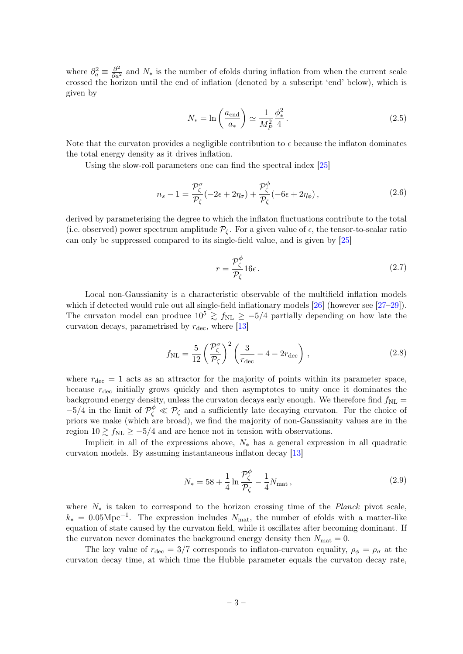<span id="page-4-0"></span>where  $\partial_a^2 \equiv \frac{\partial^2}{\partial a^2}$  and  $N_*$  is the number of efolds during inflation from when the current scale crossed the horizon until the end of inflation (denoted by a subscript 'end' below), which is given by

$$
N_* = \ln\left(\frac{a_{\text{end}}}{a_*}\right) \simeq \frac{1}{M_P^2} \frac{\phi_*^2}{4}.
$$
\n(2.5)

Note that the curvaton provides a negligible contribution to  $\epsilon$  because the inflaton dominates the total energy density as it drives inflation.

Using the slow-roll parameters one can find the spectral index [\[25\]](#page-15-1)

$$
n_s - 1 = \frac{\mathcal{P}_{\zeta}^{\sigma}}{\mathcal{P}_{\zeta}} (-2\epsilon + 2\eta_{\sigma}) + \frac{\mathcal{P}_{\zeta}^{\phi}}{\mathcal{P}_{\zeta}} (-6\epsilon + 2\eta_{\phi}), \qquad (2.6)
$$

derived by parameterising the degree to which the inflaton fluctuations contribute to the total (i.e. observed) power spectrum amplitude  $\mathcal{P}_{\mathcal{C}}$ . For a given value of  $\epsilon$ , the tensor-to-scalar ratio can only be suppressed compared to its single-field value, and is given by [\[25\]](#page-15-1)

$$
r = \frac{\mathcal{P}_{\zeta}^{\phi}}{\mathcal{P}_{\zeta}} 16\epsilon. \tag{2.7}
$$

Local non-Gaussianity is a characteristic observable of the multifield inflation models which if detected would rule out all single-field inflationary models [\[26\]](#page-15-2) (however see [\[27–](#page-15-3)[29\]](#page-15-4)). The curvaton model can produce  $10^5 \ge f_{NL} \ge -5/4$  partially depending on how late the curvaton decays, parametrised by  $r_{\text{dec}}$ , where [\[13\]](#page-14-9)

$$
f_{\rm NL} = \frac{5}{12} \left( \frac{\mathcal{P}_{\zeta}^{\sigma}}{\mathcal{P}_{\zeta}} \right)^2 \left( \frac{3}{r_{\rm dec}} - 4 - 2r_{\rm dec} \right), \qquad (2.8)
$$

where  $r_{\text{dec}} = 1$  acts as an attractor for the majority of points within its parameter space, because  $r_{\text{dec}}$  initially grows quickly and then asymptotes to unity once it dominates the background energy density, unless the curvaton decays early enough. We therefore find  $f_{\rm NL}$  =  $-5/4$  in the limit of  $\mathcal{P}_{\zeta}^{\phi} \ll \mathcal{P}_{\zeta}$  and a sufficiently late decaying curvaton. For the choice of priors we make (which are broad), we find the majority of non-Gaussianity values are in the region  $10 \gtrsim f_{\text{NL}} \ge -5/4$  and are hence not in tension with observations.

Implicit in all of the expressions above,  $N_*$  has a general expression in all quadratic curvaton models. By assuming instantaneous inflaton decay [\[13\]](#page-14-9)

$$
N_* = 58 + \frac{1}{4} \ln \frac{\mathcal{P}_{\zeta}^{\phi}}{\mathcal{P}_{\zeta}} - \frac{1}{4} N_{\text{mat}} , \qquad (2.9)
$$

where  $N_*$  is taken to correspond to the horizon crossing time of the *Planck* pivot scale,  $k_* = 0.05 \text{Mpc}^{-1}$ . The expression includes  $N_{\text{mat}}$ , the number of efolds with a matter-like equation of state caused by the curvaton field, while it oscillates after becoming dominant. If the curvaton never dominates the background energy density then  $N_{\text{mat}} = 0$ .

The key value of  $r_{\text{dec}} = 3/7$  corresponds to inflaton-curvaton equality,  $\rho_{\phi} = \rho_{\sigma}$  at the curvaton decay time, at which time the Hubble parameter equals the curvaton decay rate,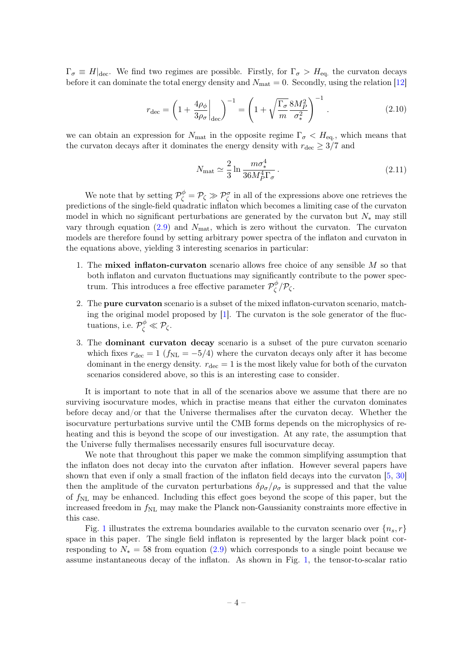$\Gamma_{\sigma} \equiv H|_{\text{dec}}$ . We find two regimes are possible. Firstly, for  $\Gamma_{\sigma} > H_{\text{eq}}$  the curvaton decays before it can dominate the total energy density and  $N_{\text{mat}} = 0$ . Secondly, using the relation [\[12\]](#page-14-7)

$$
r_{\rm dec} = \left(1 + \frac{4\rho_{\phi}}{3\rho_{\sigma}}\bigg|_{\rm dec}\right)^{-1} = \left(1 + \sqrt{\frac{\Gamma_{\sigma}}{m}} \frac{8M_P^2}{\sigma_*^2}\right)^{-1}.
$$
 (2.10)

we can obtain an expression for  $N_{\text{mat}}$  in the opposite regime  $\Gamma_{\sigma} < H_{\text{eq}}$ , which means that the curvaton decays after it dominates the energy density with  $r_{\text{dec}} \geq 3/7$  and

$$
N_{\text{mat}} \simeq \frac{2}{3} \ln \frac{m\sigma_*^4}{36M_P^4 \Gamma_\sigma} \,. \tag{2.11}
$$

We note that by setting  $\mathcal{P}_{\zeta}^{\phi} = \mathcal{P}_{\zeta} \gg \mathcal{P}_{\zeta}^{\sigma}$  in all of the expressions above one retrieves the predictions of the single-field quadratic inflaton which becomes a limiting case of the curvaton model in which no significant perturbations are generated by the curvaton but  $N_*$  may still vary through equation  $(2.9)$  and  $N_{\text{mat}}$ , which is zero without the curvaton. The curvaton models are therefore found by setting arbitrary power spectra of the inflaton and curvaton in the equations above, yielding 3 interesting scenarios in particular:

- <span id="page-5-1"></span><span id="page-5-0"></span>1. The **mixed inflaton-curvation** scenario allows free choice of any sensible  $M$  so that both inflaton and curvaton fluctuations may significantly contribute to the power spectrum. This introduces a free effective parameter  $\mathcal{P}_{\zeta}^{\phi}$  $\zeta^\varphi/\mathcal{P}_\zeta.$
- 2. The pure curvaton scenario is a subset of the mixed inflaton-curvaton scenario, matching the original model proposed by  $[1]$ . The curvaton is the sole generator of the fluctuations, i.e.  $\mathcal{P}_{\zeta}^{\phi} \ll \mathcal{P}_{\zeta}$ .
- 3. The dominant curvaton decay scenario is a subset of the pure curvaton scenario which fixes  $r_{\text{dec}} = 1$  ( $f_{\text{NL}} = -5/4$ ) where the curvaton decays only after it has become dominant in the energy density.  $r_{\text{dec}} = 1$  is the most likely value for both of the curvaton scenarios considered above, so this is an interesting case to consider.

It is important to note that in all of the scenarios above we assume that there are no surviving isocurvature modes, which in practise means that either the curvaton dominates before decay and/or that the Universe thermalises after the curvaton decay. Whether the isocurvature perturbations survive until the CMB forms depends on the microphysics of reheating and this is beyond the scope of our investigation. At any rate, the assumption that the Universe fully thermalises necessarily ensures full isocurvature decay.

We note that throughout this paper we make the common simplifying assumption that the inflaton does not decay into the curvaton after inflation. However several papers have shown that even if only a small fraction of the inflaton field decays into the curvaton [\[5,](#page-14-2) [30\]](#page-15-5) then the amplitude of the curvaton perturbations  $\delta \rho_{\sigma}/\rho_{\sigma}$  is suppressed and that the value of  $f_{\rm NL}$  may be enhanced. Including this effect goes beyond the scope of this paper, but the increased freedom in  $f_{\rm NL}$  may make the Planck non-Gaussianity constraints more effective in this case.

Fig. [1](#page-6-0) illustrates the extrema boundaries available to the curvaton scenario over  ${n<sub>s</sub>, r}$ space in this paper. The single field inflaton is represented by the larger black point corresponding to  $N_* = 58$  from equation [\(2.9\)](#page-3-0) which corresponds to a single point because we assume instantaneous decay of the inflaton. As shown in Fig. [1,](#page-6-0) the tensor-to-scalar ratio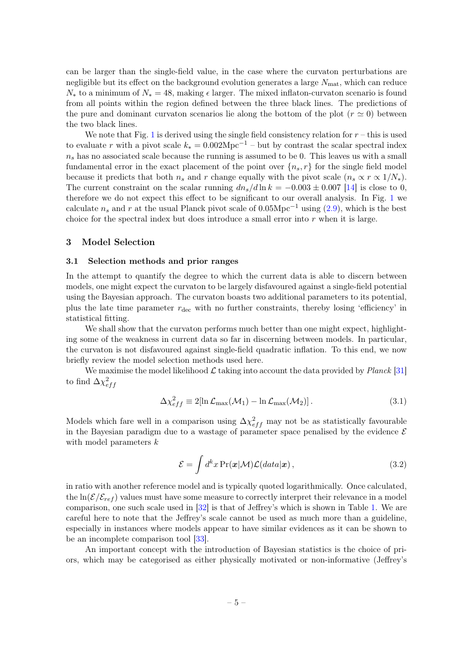can be larger than the single-field value, in the case where the curvaton perturbations are negligible but its effect on the background evolution generates a large  $N_{\text{mat}}$ , which can reduce  $N_*$  to a minimum of  $N_* = 48$ , making  $\epsilon$  larger. The mixed inflaton-curvaton scenario is found from all points within the region defined between the three black lines. The predictions of the pure and dominant curvaton scenarios lie along the bottom of the plot  $(r \simeq 0)$  between the two black lines.

We note that Fig. [1](#page-6-0) is derived using the single field consistency relation for  $r -$  this is used to evaluate r with a pivot scale  $k_* = 0.002 \text{Mpc}^{-1}$  – but by contrast the scalar spectral index  $n<sub>s</sub>$  has no associated scale because the running is assumed to be 0. This leaves us with a small fundamental error in the exact placement of the point over  $\{n_s, r\}$  for the single field model because it predicts that both  $n_s$  and r change equally with the pivot scale  $(n_s \propto r \propto 1/N_*)$ . The current constraint on the scalar running  $dn_s/d\ln k = -0.003 \pm 0.007$  [\[14\]](#page-14-10) is close to 0, therefore we do not expect this effect to be significant to our overall analysis. In Fig. [1](#page-6-0) we calculate  $n_s$  and r at the usual Planck pivot scale of 0.05Mpc<sup>-1</sup> using [\(2.9\)](#page-3-0), which is the best choice for the spectral index but does introduce a small error into  $r$  when it is large.

#### 3 Model Selection

#### 3.1 Selection methods and prior ranges

In the attempt to quantify the degree to which the current data is able to discern between models, one might expect the curvaton to be largely disfavoured against a single-field potential using the Bayesian approach. The curvaton boasts two additional parameters to its potential, plus the late time parameter  $r_{\text{dec}}$  with no further constraints, thereby losing 'efficiency' in statistical fitting.

We shall show that the curvaton performs much better than one might expect, highlighting some of the weakness in current data so far in discerning between models. In particular, the curvaton is not disfavoured against single-field quadratic inflation. To this end, we now briefly review the model selection methods used here.

<span id="page-6-0"></span>We maximise the model likelihood  $\mathcal L$  taking into account the data provided by *Planck* [\[31\]](#page-15-6) to find  $\Delta \chi^2_{eff}$ 

$$
\Delta \chi_{eff}^2 \equiv 2[\ln \mathcal{L}_{\text{max}}(\mathcal{M}_1) - \ln \mathcal{L}_{\text{max}}(\mathcal{M}_2)]. \tag{3.1}
$$

Models which fare well in a comparison using  $\Delta \chi_{eff}^2$  may not be as statistically favourable in the Bayesian paradigm due to a wastage of parameter space penalised by the evidence  $\mathcal E$ with model parameters  $k$ 

$$
\mathcal{E} = \int d^k x \Pr(\mathbf{x}|\mathcal{M}) \mathcal{L}(data|\mathbf{x}), \qquad (3.2)
$$

in ratio with another reference model and is typically quoted logarithmically. Once calculated, the  $\ln(\mathcal{E}/\mathcal{E}_{ref})$  values must have some measure to correctly interpret their relevance in a model comparison, one such scale used in [\[32\]](#page-15-7) is that of Jeffrey's which is shown in Table [1.](#page-6-1) We are careful here to note that the Jeffrey's scale cannot be used as much more than a guideline, especially in instances where models appear to have similar evidences as it can be shown to be an incomplete comparison tool [\[33\]](#page-15-8).

<span id="page-6-1"></span>An important concept with the introduction of Bayesian statistics is the choice of priors, which may be categorised as either physically motivated or non-informative (Jeffrey's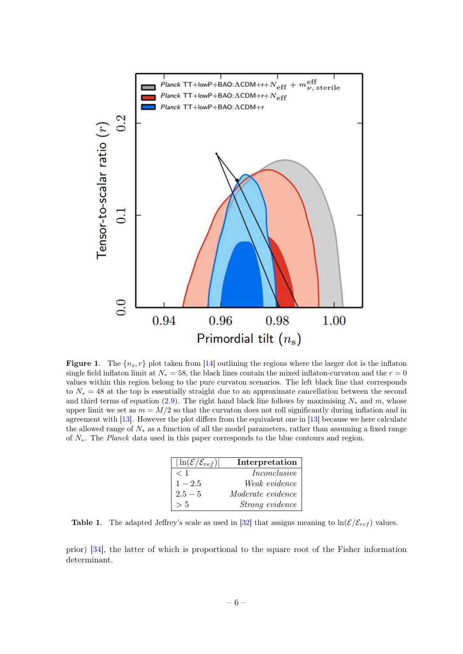

<span id="page-7-0"></span>**Figure 1.** The  ${n_s, r}$  plot taken from [\[14\]](#page-14-10) outlining the regions where the larger dot is the inflaton single field inflaton limit at  $N_* = 58$ , the black lines contain the mixed inflaton-curvaton and the  $r = 0$ values within this region belong to the pure curvaton scenarios. The left black line that corresponds to N<sup>∗</sup> = 48 at the top is essentially straight due to an approximate cancellation between the second and third terms of equation [\(2.9\)](#page-3-0). The right hand black line follows by maximising  $N_*$  and m, whose upper limit we set as  $m = M/2$  so that the curvaton does not roll significantly during inflation and in agreement with [\[13\]](#page-14-9). However the plot differs from the equivalent one in [\[13\]](#page-14-9) because we here calculate the allowed range of N<sup>∗</sup> as a function of all the model parameters, rather than assuming a fixed range of N∗. The Planck data used in this paper corresponds to the blue contours and region.

| $ \ln(\mathcal{E}/\mathcal{E}_{ref}) $ | Interpretation           |  |
|----------------------------------------|--------------------------|--|
| < 1                                    | Inconclusive             |  |
| $1 - 2.5$                              | Weak evidence            |  |
| $2.5 - 5$                              | <i>Moderate evidence</i> |  |
| > 5                                    | Strong evidence          |  |

**Table 1.** The adapted Jeffrey's scale as used in [\[32\]](#page-15-7) that assigns meaning to  $\ln(\mathcal{E}/\mathcal{E}_{ref})$  values.

prior) [\[34\]](#page-15-9), the latter of which is proportional to the square root of the Fisher information determinant.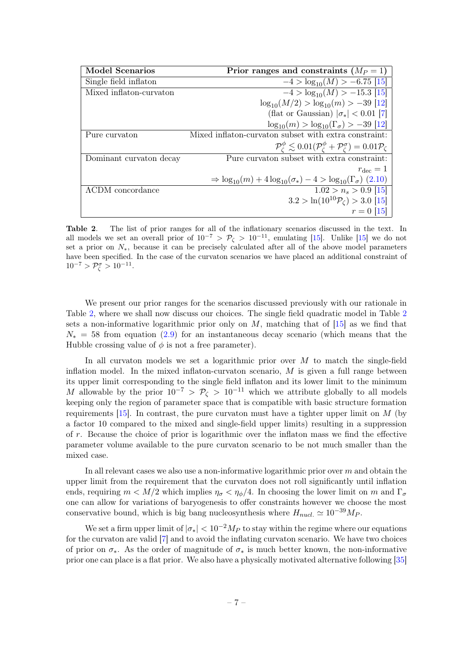<span id="page-8-1"></span>

| <b>Model Scenarios</b>  | Prior ranges and constraints $(M_P = 1)$                                                                                    |  |
|-------------------------|-----------------------------------------------------------------------------------------------------------------------------|--|
| Single field inflaton   | $-4 > log_{10}(M) > -6.75$ [15]                                                                                             |  |
| Mixed inflaton-curvaton | $-4 > log_{10}(M) > -15.3$ [15]                                                                                             |  |
|                         | $\log_{10}(M/2) > \log_{10}(m) > -39$ [12]                                                                                  |  |
|                         | (flat or Gaussian) $ \sigma_*  < 0.01$ [7]                                                                                  |  |
|                         | $\log_{10}(m) > \log_{10}(\Gamma_{\sigma}) > -39$ [12]                                                                      |  |
| Pure curvaton           | Mixed inflaton-curvaton subset with extra constraint:                                                                       |  |
|                         | $\mathcal{P}_c^{\phi} \lesssim 0.01(\mathcal{P}_c^{\phi} + \mathcal{P}_c^{\sigma}) = 0.01\mathcal{P}_c$                     |  |
| Dominant curvaton decay | Pure curvation subset with extra constraint:                                                                                |  |
|                         | $r_{\text{dec}}=1$                                                                                                          |  |
|                         | $\Rightarrow$ log <sub>10</sub> $(m)$ + 4 log <sub>10</sub> $(\sigma_*)$ – 4 > log <sub>10</sub> $(\Gamma_{\sigma})$ (2.10) |  |
| ACDM concordance        | $1.02 > n_s > 0.9$ [15]                                                                                                     |  |
|                         | $3.2 > \ln(10^{10} \mathcal{P}_c) > 3.0$ [15]                                                                               |  |
|                         | $r = 0$ [15]                                                                                                                |  |

<span id="page-8-0"></span>Table 2. The list of prior ranges for all of the inflationary scenarios discussed in the text. In all models we set an overall prior of  $10^{-7} > \mathcal{P}_{\zeta} > 10^{-11}$ , emulating [\[15\]](#page-14-16). Unlike [15] we do not set a prior on  $N_*$ , because it can be precisely calculated after all of the above model parameters have been specified. In the case of the curvaton scenarios we have placed an additional constraint of  $10^{-7} > \mathcal{P}_{\zeta}^{\sigma} > 10^{-11}.$ 

We present our prior ranges for the scenarios discussed previously with our rationale in Table [2,](#page-7-0) where we shall now discuss our choices. The single field quadratic model in Table [2](#page-7-0) sets a non-informative logarithmic prior only on  $M$ , matching that of [\[15\]](#page-14-16) as we find that  $N_* = 58$  from equation [\(2.9\)](#page-3-0) for an instantaneous decay scenario (which means that the Hubble crossing value of  $\phi$  is not a free parameter).

In all curvaton models we set a logarithmic prior over  $M$  to match the single-field inflation model. In the mixed inflaton-curvaton scenario,  $M$  is given a full range between its upper limit corresponding to the single field inflaton and its lower limit to the minimum M allowable by the prior  $10^{-7} > \mathcal{P}_{\zeta} > 10^{-11}$  which we attribute globally to all models keeping only the region of parameter space that is compatible with basic structure formation requirements  $[15]$ . In contrast, the pure curvaton must have a tighter upper limit on M (by a factor 10 compared to the mixed and single-field upper limits) resulting in a suppression of r. Because the choice of prior is logarithmic over the inflaton mass we find the effective parameter volume available to the pure curvaton scenario to be not much smaller than the mixed case.

In all relevant cases we also use a non-informative logarithmic prior over m and obtain the upper limit from the requirement that the curvaton does not roll significantly until inflation ends, requiring  $m < M/2$  which implies  $\eta_{\sigma} < \eta_{\phi}/4$ . In choosing the lower limit on m and  $\Gamma_{\sigma}$ one can allow for variations of baryogenesis to offer constraints however we choose the most conservative bound, which is big bang nucleosynthesis where  $H_{nucl.} \simeq 10^{-39} M_P$ .

We set a firm upper limit of  $|\sigma_*| < 10^{-2} M_P$  to stay within the regime where our equations for the curvaton are valid [\[7\]](#page-14-4) and to avoid the inflating curvaton scenario. We have two choices of prior on  $\sigma_*$ . As the order of magnitude of  $\sigma_*$  is much better known, the non-informative prior one can place is a flat prior. We also have a physically motivated alternative following [\[35\]](#page-15-10)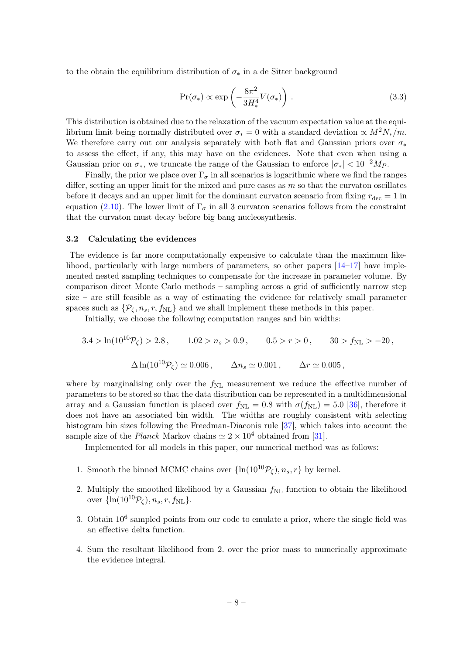to the obtain the equilibrium distribution of  $\sigma_*$  in a de Sitter background

$$
\Pr(\sigma_*) \propto \exp\left(-\frac{8\pi^2}{3H_*^4}V(\sigma_*)\right). \tag{3.3}
$$

This distribution is obtained due to the relaxation of the vacuum expectation value at the equilibrium limit being normally distributed over  $\sigma_* = 0$  with a standard deviation  $\propto M^2 N_*/m$ . We therefore carry out our analysis separately with both flat and Gaussian priors over  $\sigma_*$ to assess the effect, if any, this may have on the evidences. Note that even when using a Gaussian prior on  $\sigma_*$ , we truncate the range of the Gaussian to enforce  $|\sigma_*| < 10^{-2} M_P$ .

<span id="page-9-0"></span>Finally, the prior we place over  $\Gamma_{\sigma}$  in all scenarios is logarithmic where we find the ranges differ, setting an upper limit for the mixed and pure cases as  $m$  so that the curvaton oscillates before it decays and an upper limit for the dominant curvaton scenario from fixing  $r_{\text{dec}} = 1$  in equation [\(2.10\)](#page-4-0). The lower limit of  $\Gamma_{\sigma}$  in all 3 curvaton scenarios follows from the constraint that the curvaton must decay before big bang nucleosynthesis.

#### 3.2 Calculating the evidences

The evidence is far more computationally expensive to calculate than the maximum likelihood, particularly with large numbers of parameters, so other papers [\[14](#page-14-10)[–17\]](#page-14-17) have implemented nested sampling techniques to compensate for the increase in parameter volume. By comparison direct Monte Carlo methods – sampling across a grid of sufficiently narrow step size – are still feasible as a way of estimating the evidence for relatively small parameter spaces such as  $\{\mathcal{P}_{\zeta}, n_s, r, f_{\text{NL}}\}$  and we shall implement these methods in this paper.

Initially, we choose the following computation ranges and bin widths:

$$
3.4 > \ln(10^{10}P_{\zeta}) > 2.8, \qquad 1.02 > n_s > 0.9, \qquad 0.5 > r > 0, \qquad 30 > f_{\rm NL} > -20,
$$
  

$$
\Delta \ln(10^{10}P_{\zeta}) \simeq 0.006, \qquad \Delta n_s \simeq 0.001, \qquad \Delta r \simeq 0.005,
$$

where by marginalising only over the  $f_{\rm NL}$  measurement we reduce the effective number of parameters to be stored so that the data distribution can be represented in a multidimensional array and a Gaussian function is placed over  $f_{\text{NL}} = 0.8$  with  $\sigma(f_{\text{NL}}) = 5.0$  [\[36\]](#page-15-11), therefore it does not have an associated bin width. The widths are roughly consistent with selecting histogram bin sizes following the Freedman-Diaconis rule [\[37\]](#page-15-12), which takes into account the sample size of the *Planck* Markov chains  $\simeq 2 \times 10^4$  obtained from [\[31\]](#page-15-6).

Implemented for all models in this paper, our numerical method was as follows:

- 1. Smooth the binned MCMC chains over  $\{\ln(10^{10}\mathcal{P}_\zeta), n_s, r\}$  by kernel.
- 2. Multiply the smoothed likelihood by a Gaussian  $f_{NL}$  function to obtain the likelihood over  $\{\ln(10^{10}\mathcal{P}_c), n_s, r, f_{\rm NL}\}.$
- 3. Obtain 10<sup>6</sup> sampled points from our code to emulate a prior, where the single field was an effective delta function.
- 4. Sum the resultant likelihood from 2. over the prior mass to numerically approximate the evidence integral.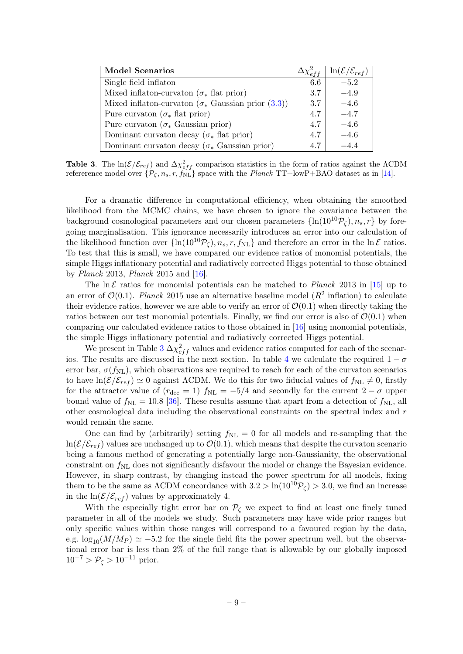| <b>Model Scenarios</b>                                     |     | $\ln(\mathcal{E}/\mathcal{E}_{ref})$ |
|------------------------------------------------------------|-----|--------------------------------------|
| Single field inflaton                                      | 6.6 | $-5.2$                               |
| Mixed inflaton-curvaton ( $\sigma_*$ flat prior)           | 3.7 | $-4.9$                               |
| Mixed inflaton-curvaton ( $\sigma_*$ Gaussian prior (3.3)) | 3.7 | $-4.6$                               |
| Pure curvation ( $\sigma_*$ flat prior)                    | 4.7 | $-4.7$                               |
| Pure curvation ( $\sigma_*$ Gaussian prior)                | 4.7 | $-4.6$                               |
| Dominant curvation decay ( $\sigma_*$ flat prior)          | 4.7 | $-4.6$                               |
| Dominant curvation decay ( $\sigma_*$ Gaussian prior)      | 4.7 |                                      |

**Table 3**. The ln( $\mathcal{E}/\mathcal{E}_{ref}$ ) and  $\Delta \chi_{eff}^2$  comparison statistics in the form of ratios against the  $\Lambda$ CDM refererence model over  $\{\mathcal{P}_{\zeta}, n_s, r, f_{NL}\}$  space with the Planck TT+lowP+BAO dataset as in [\[14\]](#page-14-10).

<span id="page-10-0"></span>For a dramatic difference in computational efficiency, when obtaining the smoothed likelihood from the MCMC chains, we have chosen to ignore the covariance between the background cosmological parameters and our chosen parameters  $\{\ln(10^{10}\mathcal{P}_\zeta), n_s, r\}$  by foregoing marginalisation. This ignorance necessarily introduces an error into our calculation of the likelihood function over  $\{\ln(10^{10}\mathcal{P}_\ell), n_s, r, f_{NL}\}\$ and therefore an error in the  $\ln \mathcal{E}$  ratios. To test that this is small, we have compared our evidence ratios of monomial potentials, the simple Higgs inflationary potential and radiatively corrected Higgs potential to those obtained by *Planck* 2013, *Planck* 2015 and  $|16|$ .

The ln E ratios for monomial potentials can be matched to *Planck* 2013 in [\[15\]](#page-14-16) up to an error of  $\mathcal{O}(0.1)$ . Planck 2015 use an alternative baseline model ( $R^2$  inflation) to calculate their evidence ratios, however we are able to verify an error of  $\mathcal{O}(0.1)$  when directly taking the ratios between our test monomial potentials. Finally, we find our error is also of  $\mathcal{O}(0.1)$  when comparing our calculated evidence ratios to those obtained in [\[16\]](#page-14-18) using monomial potentials, the simple Higgs inflationary potential and radiatively corrected Higgs potential.

We present in Table [3](#page-9-0)  $\Delta \chi_{eff}^2$  values and evidence ratios computed for each of the scenar-ios. The results are discussed in the next section. In table [4](#page-10-0) we calculate the required  $1 - \sigma$ error bar,  $\sigma(f_{\text{NL}})$ , which observations are required to reach for each of the curvaton scenarios to have  $\ln(\mathcal{E}/\mathcal{E}_{ref}) \simeq 0$  against ACDM. We do this for two fiducial values of  $f_{NL} \neq 0$ , firstly for the attractor value of ( $r_{\text{dec}} = 1$ )  $f_{\text{NL}} = -5/4$  and secondly for the current  $2 - \sigma$  upper bound value of  $f_{\text{NL}} = 10.8$  [\[36\]](#page-15-11). These results assume that apart from a detection of  $f_{\text{NL}}$ , all other cosmological data including the observational constraints on the spectral index and r would remain the same.

One can find by (arbitrarily) setting  $f_{\rm NL} = 0$  for all models and re-sampling that the  $ln(\mathcal{E}/\mathcal{E}_{ref})$  values are unchanged up to  $\mathcal{O}(0.1)$ , which means that despite the curvaton scenario being a famous method of generating a potentially large non-Gaussianity, the observational constraint on  $f_{\rm NL}$  does not significantly disfavour the model or change the Bayesian evidence. However, in sharp contrast, by changing instead the power spectrum for all models, fixing them to be the same as  $\Lambda$ CDM concordance with  $3.2 > \ln(10^{10}P_C) > 3.0$ , we find an increase in the  $\ln(\mathcal{E}/\mathcal{E}_{ref})$  values by approximately 4.

With the especially tight error bar on  $\mathcal{P}_{\zeta}$  we expect to find at least one finely tuned parameter in all of the models we study. Such parameters may have wide prior ranges but only specific values within those ranges will correspond to a favoured region by the data, e.g.  $\log_{10}(M/M_P) \simeq -5.2$  for the single field fits the power spectrum well, but the observational error bar is less than 2% of the full range that is allowable by our globally imposed  $10^{-7} > \mathcal{P}_{\zeta} > 10^{-11}$  prior.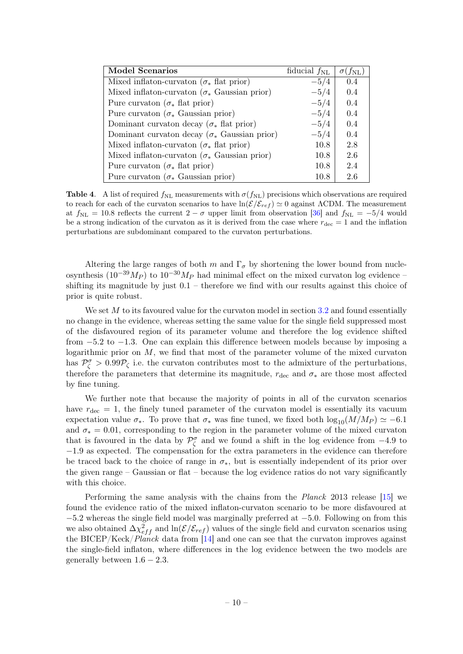| <b>Model Scenarios</b>                                | fiducial $f_{\rm NL}$ | $(f_{\rm NL})$ |
|-------------------------------------------------------|-----------------------|----------------|
| Mixed inflaton-curvation ( $\sigma_*$ flat prior)     | $-5/4$                | 0.4            |
| Mixed inflaton-curvation ( $\sigma_*$ Gaussian prior) | $-5/4$                | 0.4            |
| Pure curvation ( $\sigma_*$ flat prior)               | $-5/4$                | 0.4            |
| Pure curvation ( $\sigma_*$ Gaussian prior)           | $-5/4$                | 0.4            |
| Dominant curvation decay ( $\sigma_*$ flat prior)     | $-5/4$                | 0.4            |
| Dominant curvation decay ( $\sigma_*$ Gaussian prior) | $-5/4$                | 0.4            |
| Mixed inflaton-curvaton ( $\sigma_*$ flat prior)      | 10.8                  | 2.8            |
| Mixed inflaton-curvaton ( $\sigma_*$ Gaussian prior)  | 10.8                  | 2.6            |
| Pure curvation ( $\sigma_*$ flat prior)               | 10.8                  | 2.4            |
| Pure curvation ( $\sigma_*$ Gaussian prior)           | 10.8                  | 2.6            |

<span id="page-11-0"></span>**Table 4.** A list of required  $f_{NL}$  measurements with  $\sigma(f_{NL})$  precisions which observations are required to reach for each of the curvaton scenarios to have  $ln(\mathcal{E}/\mathcal{E}_{ref}) \simeq 0$  against ΛCDM. The measurement at  $f_{\text{NL}} = 10.8$  reflects the current  $2 - \sigma$  upper limit from observation [\[36\]](#page-15-11) and  $f_{\text{NL}} = -5/4$  would be a strong indication of the curvaton as it is derived from the case where  $r_{\text{dec}} = 1$  and the inflation perturbations are subdominant compared to the curvaton perturbations.

Altering the large ranges of both m and  $\Gamma_{\sigma}$  by shortening the lower bound from nucleosynthesis (10<sup>-39</sup>M<sub>P</sub>) to 10<sup>-30</sup>M<sub>P</sub> had minimal effect on the mixed curvaton log evidence – shifting its magnitude by just  $0.1$  – therefore we find with our results against this choice of prior is quite robust.

We set  $M$  to its favoured value for the curvaton model in section [3.2](#page-8-0) and found essentially no change in the evidence, whereas setting the same value for the single field suppressed most of the disfavoured region of its parameter volume and therefore the log evidence shifted from −5.2 to −1.3. One can explain this difference between models because by imposing a logarithmic prior on  $M$ , we find that most of the parameter volume of the mixed curvaton has  $\mathcal{P}_{\zeta}^{\sigma} > 0.99 \mathcal{P}_{\zeta}$  i.e. the curvaton contributes most to the admixture of the perturbations, therefore the parameters that determine its magnitude,  $r_{\text{dec}}$  and  $\sigma_*$  are those most affected by fine tuning.

We further note that because the majority of points in all of the curvaton scenarios have  $r_{\text{dec}} = 1$ , the finely tuned parameter of the curvaton model is essentially its vacuum expectation value  $\sigma_*$ . To prove that  $\sigma_*$  was fine tuned, we fixed both  $\log_{10}(M/M_P) \simeq -6.1$ and  $\sigma_* = 0.01$ , corresponding to the region in the parameter volume of the mixed curvaton that is favoured in the data by  $\mathcal{P}_{\zeta}^{\sigma}$  and we found a shift in the log evidence from  $-4.9$  to −1.9 as expected. The compensation for the extra parameters in the evidence can therefore be traced back to the choice of range in  $\sigma_*$ , but is essentially independent of its prior over the given range – Gaussian or flat – because the log evidence ratios do not vary significantly with this choice.

Performing the same analysis with the chains from the Planck 2013 release [\[15\]](#page-14-16) we found the evidence ratio of the mixed inflaton-curvaton scenario to be more disfavoured at −5.2 whereas the single field model was marginally preferred at −5.0. Following on from this we also obtained  $\Delta \chi_{eff}^2$  and  $\ln(\mathcal{E}/\mathcal{E}_{ref})$  values of the single field and curvaton scenarios using the BICEP/Keck/*Planck* data from [\[14\]](#page-14-10) and one can see that the curvaton improves against the single-field inflaton, where differences in the log evidence between the two models are generally between  $1.6 - 2.3$ .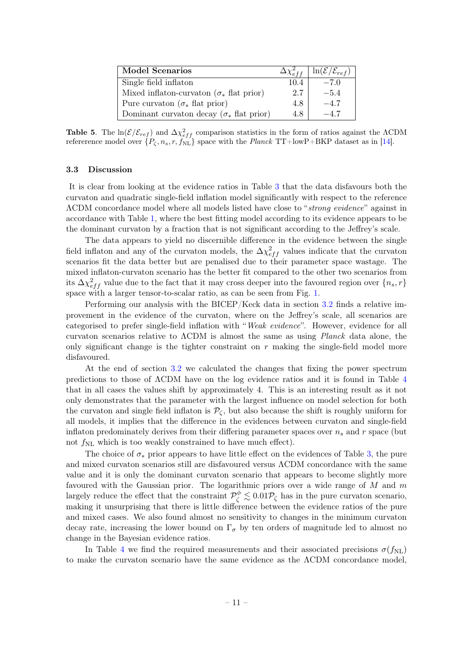| <b>Model Scenarios</b>                            | $\Delta \chi^2_{eff}$ | $\ln(\mathcal{E}/\mathcal{E}_{ref})$ |
|---------------------------------------------------|-----------------------|--------------------------------------|
| Single field inflaton                             | 10.4                  | $-7.0$                               |
| Mixed inflaton-curvatin ( $\sigma_*$ flat prior)  | 2.7                   | $-5.4$                               |
| Pure curvation ( $\sigma_*$ flat prior)           | 4.8                   | $-4.7$                               |
| Dominant curvation decay ( $\sigma_*$ flat prior) | 4.8                   | $-4.7$                               |

Table 5. The  $ln(\mathcal{E}/\mathcal{E}_{ref})$  and  $\Delta \chi_{eff}^2$  comparison statistics in the form of ratios against the  $\Lambda$ CDM refererence model over  $\{P_{\zeta}, n_s, r, f_{NL} \}$  space with the Planck TT+lowP+BKP dataset as in [\[14\]](#page-14-10).

#### 3.3 Discussion

It is clear from looking at the evidence ratios in Table [3](#page-9-0) that the data disfavours both the curvaton and quadratic single-field inflation model significantly with respect to the reference ΛCDM concordance model where all models listed have close to "strong evidence" against in accordance with Table [1,](#page-6-1) where the best fitting model according to its evidence appears to be the dominant curvaton by a fraction that is not significant according to the Jeffrey's scale.

The data appears to yield no discernible difference in the evidence between the single field inflaton and any of the curvaton models, the  $\Delta \chi_{eff}^2$  values indicate that the curvaton scenarios fit the data better but are penalised due to their parameter space wastage. The mixed inflaton-curvaton scenario has the better fit compared to the other two scenarios from its  $\Delta \chi_{eff}^2$  value due to the fact that it may cross deeper into the favoured region over  $\{n_s, r\}$ space with a larger tensor-to-scalar ratio, as can be seen from Fig. [1.](#page-6-0)

Performing our analysis with the BICEP/Keck data in section [3.2](#page-8-0) finds a relative improvement in the evidence of the curvaton, where on the Jeffrey's scale, all scenarios are categorised to prefer single-field inflation with "Weak evidence". However, evidence for all curvaton scenarios relative to  $\Lambda$ CDM is almost the same as using *Planck* data alone, the only significant change is the tighter constraint on  $r$  making the single-field model more disfavoured.

<span id="page-12-0"></span>At the end of section [3.2](#page-8-0) we calculated the changes that fixing the power spectrum predictions to those of ΛCDM have on the log evidence ratios and it is found in Table [4](#page-10-0) that in all cases the values shift by approximately 4. This is an interesting result as it not only demonstrates that the parameter with the largest influence on model selection for both the curvaton and single field inflaton is  $\mathcal{P}_{\zeta}$ , but also because the shift is roughly uniform for all models, it implies that the difference in the evidences between curvaton and single-field inflaton predominately derives from their differing parameter spaces over  $n_s$  and r space (but not  $f_{\rm NL}$  which is too weakly constrained to have much effect).

The choice of  $\sigma_*$  prior appears to have little effect on the evidences of Table [3,](#page-9-0) the pure and mixed curvaton scenarios still are disfavoured versus ΛCDM concordance with the same value and it is only the dominant curvaton scenario that appears to become slightly more favoured with the Gaussian prior. The logarithmic priors over a wide range of  $M$  and  $m$ largely reduce the effect that the constraint  $\mathcal{P}_{\zeta}^{\phi} \lesssim 0.01 \mathcal{P}_{\zeta}$  has in the pure curvaton scenario, making it unsurprising that there is little difference between the evidence ratios of the pure and mixed cases. We also found almost no sensitivity to changes in the minimum curvaton decay rate, increasing the lower bound on  $\Gamma_{\sigma}$  by ten orders of magnitude led to almost no change in the Bayesian evidence ratios.

In Table [4](#page-10-0) we find the required measurements and their associated precisions  $\sigma(f_{\rm NL})$ to make the curvaton scenario have the same evidence as the ΛCDM concordance model,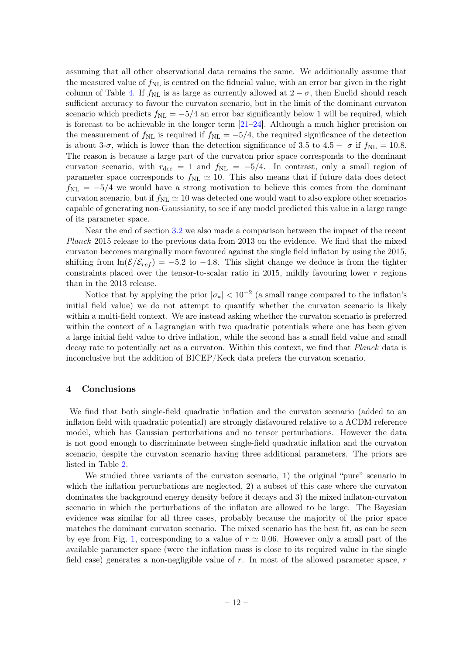assuming that all other observational data remains the same. We additionally assume that the measured value of  $f_{\rm NL}$  is centred on the fiducial value, with an error bar given in the right column of Table [4.](#page-10-0) If  $f_{\text{NL}}$  is as large as currently allowed at  $2 - \sigma$ , then Euclid should reach sufficient accuracy to favour the curvaton scenario, but in the limit of the dominant curvaton scenario which predicts  $f_{\text{NL}} = -5/4$  an error bar significantly below 1 will be required, which is forecast to be achievable in the longer term [\[21](#page-14-15)[–24\]](#page-15-0). Although a much higher precision on the measurement of  $f_{\text{NL}}$  is required if  $f_{\text{NL}} = -5/4$ , the required significance of the detection is about 3- $\sigma$ , which is lower than the detection significance of 3.5 to 4.5 –  $\sigma$  if  $f_{\rm NL} = 10.8$ . The reason is because a large part of the curvaton prior space corresponds to the dominant curvaton scenario, with  $r_{\text{dec}} = 1$  and  $f_{\text{NL}} = -5/4$ . In contrast, only a small region of parameter space corresponds to  $f_{\text{NL}} \simeq 10$ . This also means that if future data does detect  $f_{\rm NL} = -5/4$  we would have a strong motivation to believe this comes from the dominant curvaton scenario, but if  $f_{\rm NL} \simeq 10$  was detected one would want to also explore other scenarios capable of generating non-Gaussianity, to see if any model predicted this value in a large range of its parameter space.

Near the end of section [3.2](#page-8-0) we also made a comparison between the impact of the recent Planck 2015 release to the previous data from 2013 on the evidence. We find that the mixed curvaton becomes marginally more favoured against the single field inflaton by using the 2015, shifting from  $\ln(\mathcal{E}/\mathcal{E}_{ref}) = -5.2$  to  $-4.8$ . This slight change we deduce is from the tighter constraints placed over the tensor-to-scalar ratio in 2015, mildly favouring lower  $r$  regions than in the 2013 release.

Notice that by applying the prior  $|\sigma_*| < 10^{-2}$  (a small range compared to the inflaton's initial field value) we do not attempt to quantify whether the curvaton scenario is likely within a multi-field context. We are instead asking whether the curvaton scenario is preferred within the context of a Lagrangian with two quadratic potentials where one has been given a large initial field value to drive inflation, while the second has a small field value and small decay rate to potentially act as a curvaton. Within this context, we find that Planck data is inconclusive but the addition of BICEP/Keck data prefers the curvaton scenario.

#### 4 Conclusions

We find that both single-field quadratic inflation and the curvaton scenario (added to an inflaton field with quadratic potential) are strongly disfavoured relative to a ΛCDM reference model, which has Gaussian perturbations and no tensor perturbations. However the data is not good enough to discriminate between single-field quadratic inflation and the curvaton scenario, despite the curvaton scenario having three additional parameters. The priors are listed in Table [2.](#page-7-0)

<span id="page-13-0"></span>We studied three variants of the curvaton scenario, 1) the original "pure" scenario in which the inflation perturbations are neglected, 2) a subset of this case where the curvaton dominates the background energy density before it decays and 3) the mixed inflaton-curvaton scenario in which the perturbations of the inflaton are allowed to be large. The Bayesian evidence was similar for all three cases, probably because the majority of the prior space matches the dominant curvaton scenario. The mixed scenario has the best fit, as can be seen by eye from Fig. [1,](#page-6-0) corresponding to a value of  $r \approx 0.06$ . However only a small part of the available parameter space (were the inflation mass is close to its required value in the single field case) generates a non-negligible value of  $r$ . In most of the allowed parameter space,  $r$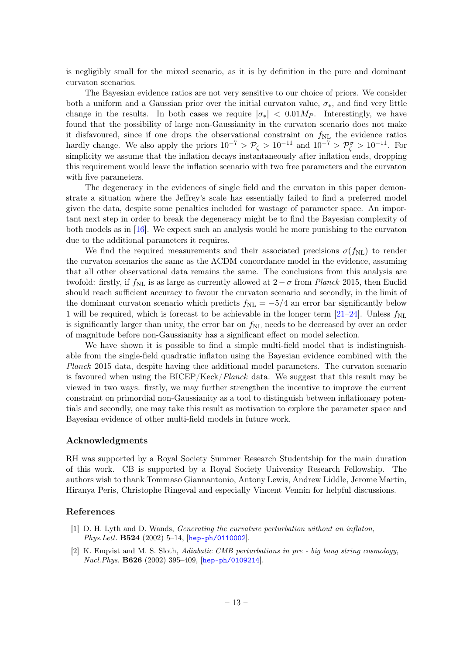<span id="page-14-0"></span>is negligibly small for the mixed scenario, as it is by definition in the pure and dominant curvaton scenarios.

<span id="page-14-3"></span><span id="page-14-2"></span><span id="page-14-1"></span>The Bayesian evidence ratios are not very sensitive to our choice of priors. We consider both a uniform and a Gaussian prior over the initial curvaton value,  $\sigma_*$ , and find very little change in the results. In both cases we require  $|\sigma_*| < 0.01 M_P$ . Interestingly, we have found that the possibility of large non-Gaussianity in the curvaton scenario does not make it disfavoured, since if one drops the observational constraint on  $f_{NL}$  the evidence ratios hardly change. We also apply the priors  $10^{-7} > \mathcal{P}_\zeta > 10^{-11}$  and  $10^{-7} > \mathcal{P}_\zeta^{\sigma} > 10^{-11}$ . For simplicity we assume that the inflation decays instantaneously after inflation ends, dropping this requirement would leave the inflation scenario with two free parameters and the curvaton with five parameters.

<span id="page-14-14"></span><span id="page-14-8"></span><span id="page-14-5"></span><span id="page-14-4"></span>The degeneracy in the evidences of single field and the curvaton in this paper demonstrate a situation where the Jeffrey's scale has essentially failed to find a preferred model given the data, despite some penalties included for wastage of parameter space. An important next step in order to break the degeneracy might be to find the Bayesian complexity of both models as in [\[16\]](#page-14-18). We expect such an analysis would be more punishing to the curvaton due to the additional parameters it requires.

<span id="page-14-9"></span><span id="page-14-7"></span><span id="page-14-6"></span>We find the required measurements and their associated precisions  $\sigma(f_{NL})$  to render the curvaton scenarios the same as the ΛCDM concordance model in the evidence, assuming that all other observational data remains the same. The conclusions from this analysis are twofold: firstly, if  $f_{\rm NL}$  is as large as currently allowed at  $2-\sigma$  from Planck 2015, then Euclid should reach sufficient accuracy to favour the curvaton scenario and secondly, in the limit of the dominant curvaton scenario which predicts  $f_{\text{NL}} = -5/4$  an error bar significantly below 1 will be required, which is forecast to be achievable in the longer term  $[21-24]$  $[21-24]$ . Unless  $f_{\text{NL}}$ is significantly larger than unity, the error bar on  $f_{NL}$  needs to be decreased by over an order of magnitude before non-Gaussianity has a significant effect on model selection.

<span id="page-14-18"></span><span id="page-14-17"></span><span id="page-14-16"></span><span id="page-14-10"></span>We have shown it is possible to find a simple multi-field model that is indistinguishable from the single-field quadratic inflaton using the Bayesian evidence combined with the Planck 2015 data, despite having thee additional model parameters. The curvaton scenario is favoured when using the BICEP/Keck/Planck data. We suggest that this result may be viewed in two ways: firstly, we may further strengthen the incentive to improve the current constraint on primordial non-Gaussianity as a tool to distinguish between inflationary potentials and secondly, one may take this result as motivation to explore the parameter space and Bayesian evidence of other multi-field models in future work.

#### <span id="page-14-12"></span><span id="page-14-11"></span>Acknowledgments

<span id="page-14-13"></span>RH was supported by a Royal Society Summer Research Studentship for the main duration of this work. CB is supported by a Royal Society University Research Fellowship. The authors wish to thank Tommaso Giannantonio, Antony Lewis, Andrew Liddle, Jerome Martin, Hiranya Peris, Christophe Ringeval and especially Vincent Vennin for helpful discussions.

#### <span id="page-14-15"></span>References

- [1] D. H. Lyth and D. Wands, Generating the curvature perturbation without an inflaton, Phys.Lett. B524 (2002) 5–14, [[hep-ph/0110002](http://xxx.lanl.gov/abs/hep-ph/0110002)].
- [2] K. Enqvist and M. S. Sloth, Adiabatic CMB perturbations in pre big bang string cosmology, Nucl.Phys. B626 (2002) 395–409, [[hep-ph/0109214](http://xxx.lanl.gov/abs/hep-ph/0109214)].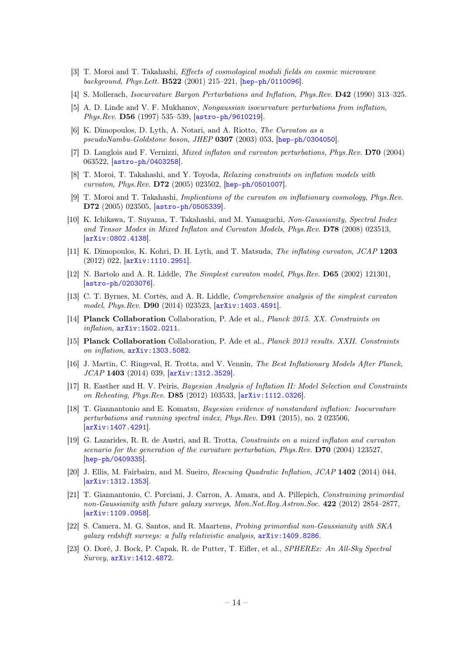- <span id="page-15-0"></span>[3] T. Moroi and T. Takahashi, Effects of cosmological moduli fields on cosmic microwave background, Phys.Lett. B522 (2001) 215–221, [[hep-ph/0110096](http://xxx.lanl.gov/abs/hep-ph/0110096)].
- <span id="page-15-1"></span>[4] S. Mollerach, Isocurvature Baryon Perturbations and Inflation, Phys.Rev. D42 (1990) 313–325.
- <span id="page-15-2"></span>[5] A. D. Linde and V. F. Mukhanov, Nongaussian isocurvature perturbations from inflation, Phys.Rev. D56 (1997) 535–539, [[astro-ph/9610219](http://xxx.lanl.gov/abs/astro-ph/9610219)].
- <span id="page-15-3"></span>[6] K. Dimopoulos, D. Lyth, A. Notari, and A. Riotto, The Curvaton as a pseudoNambu-Goldstone boson, JHEP 0307 (2003) 053, [[hep-ph/0304050](http://xxx.lanl.gov/abs/hep-ph/0304050)].
- [7] D. Langlois and F. Vernizzi, *Mixed inflaton and curvaton perturbations, Phys.Rev.* **D70** (2004) 063522, [[astro-ph/0403258](http://xxx.lanl.gov/abs/astro-ph/0403258)].
- <span id="page-15-4"></span>[8] T. Moroi, T. Takahashi, and Y. Toyoda, Relaxing constraints on inflation models with curvaton, Phys.Rev. D72 (2005) 023502, [[hep-ph/0501007](http://xxx.lanl.gov/abs/hep-ph/0501007)].
- <span id="page-15-5"></span>[9] T. Moroi and T. Takahashi, Implications of the curvaton on inflationary cosmology, Phys.Rev. D72 (2005) 023505, [[astro-ph/0505339](http://xxx.lanl.gov/abs/astro-ph/0505339)].
- <span id="page-15-6"></span>[10] K. Ichikawa, T. Suyama, T. Takahashi, and M. Yamaguchi, Non-Gaussianity, Spectral Index and Tensor Modes in Mixed Inflaton and Curvaton Models, Phys.Rev. D78 (2008) 023513, [[arXiv:0802.4138](http://xxx.lanl.gov/abs/0802.4138)].
- <span id="page-15-8"></span><span id="page-15-7"></span>[11] K. Dimopoulos, K. Kohri, D. H. Lyth, and T. Matsuda, The inflating curvaton, JCAP 1203 (2012) 022, [[arXiv:1110.2951](http://xxx.lanl.gov/abs/1110.2951)].
- <span id="page-15-9"></span>[12] N. Bartolo and A. R. Liddle, The Simplest curvaton model, Phys.Rev. D65 (2002) 121301, [[astro-ph/0203076](http://xxx.lanl.gov/abs/astro-ph/0203076)].
- [13] C. T. Byrnes, M. Cortês, and A. R. Liddle, Comprehensive analysis of the simplest curvaton model, Phys.Rev. D90 (2014) 023523, [[arXiv:1403.4591](http://xxx.lanl.gov/abs/1403.4591)].
- <span id="page-15-10"></span>[14] Planck Collaboration Collaboration, P. Ade et al., Planck 2015. XX. Constraints on inflation, [arXiv:1502.0211](http://xxx.lanl.gov/abs/1502.0211).
- <span id="page-15-11"></span>[15] Planck Collaboration Collaboration, P. Ade et al., Planck 2013 results. XXII. Constraints on inflation, [arXiv:1303.5082](http://xxx.lanl.gov/abs/1303.5082).
- <span id="page-15-12"></span>[16] J. Martin, C. Ringeval, R. Trotta, and V. Vennin, The Best Inflationary Models After Planck, JCAP 1403 (2014) 039, [[arXiv:1312.3529](http://xxx.lanl.gov/abs/1312.3529)].
- [17] R. Easther and H. V. Peiris, Bayesian Analysis of Inflation II: Model Selection and Constraints on Reheating, Phys.Rev. D85 (2012) 103533, [[arXiv:1112.0326](http://xxx.lanl.gov/abs/1112.0326)].
- [18] T. Giannantonio and E. Komatsu, Bayesian evidence of nonstandard inflation: Isocurvature perturbations and running spectral index, Phys.Rev. D91 (2015), no. 2 023506, [[arXiv:1407.4291](http://xxx.lanl.gov/abs/1407.4291)].
- [19] G. Lazarides, R. R. de Austri, and R. Trotta, Constraints on a mixed inflaton and curvaton scenario for the generation of the curvature perturbation, Phys.Rev. D70 (2004) 123527, [[hep-ph/0409335](http://xxx.lanl.gov/abs/hep-ph/0409335)].
- [20] J. Ellis, M. Fairbairn, and M. Sueiro, Rescuing Quadratic Inflation, JCAP 1402 (2014) 044, [[arXiv:1312.1353](http://xxx.lanl.gov/abs/1312.1353)].
- [21] T. Giannantonio, C. Porciani, J. Carron, A. Amara, and A. Pillepich, Constraining primordial non-Gaussianity with future galaxy surveys, Mon.Not.Roy.Astron.Soc. 422 (2012) 2854–2877, [[arXiv:1109.0958](http://xxx.lanl.gov/abs/1109.0958)].
- [22] S. Camera, M. G. Santos, and R. Maartens, Probing primordial non-Gaussianity with SKA galaxy redshift surveys: a fully relativistic analysis, [arXiv:1409.8286](http://xxx.lanl.gov/abs/1409.8286).
- [23] O. Doré, J. Bock, P. Capak, R. de Putter, T. Eifler, et al., SPHEREx: An All-Sky Spectral Survey, [arXiv:1412.4872](http://xxx.lanl.gov/abs/1412.4872).